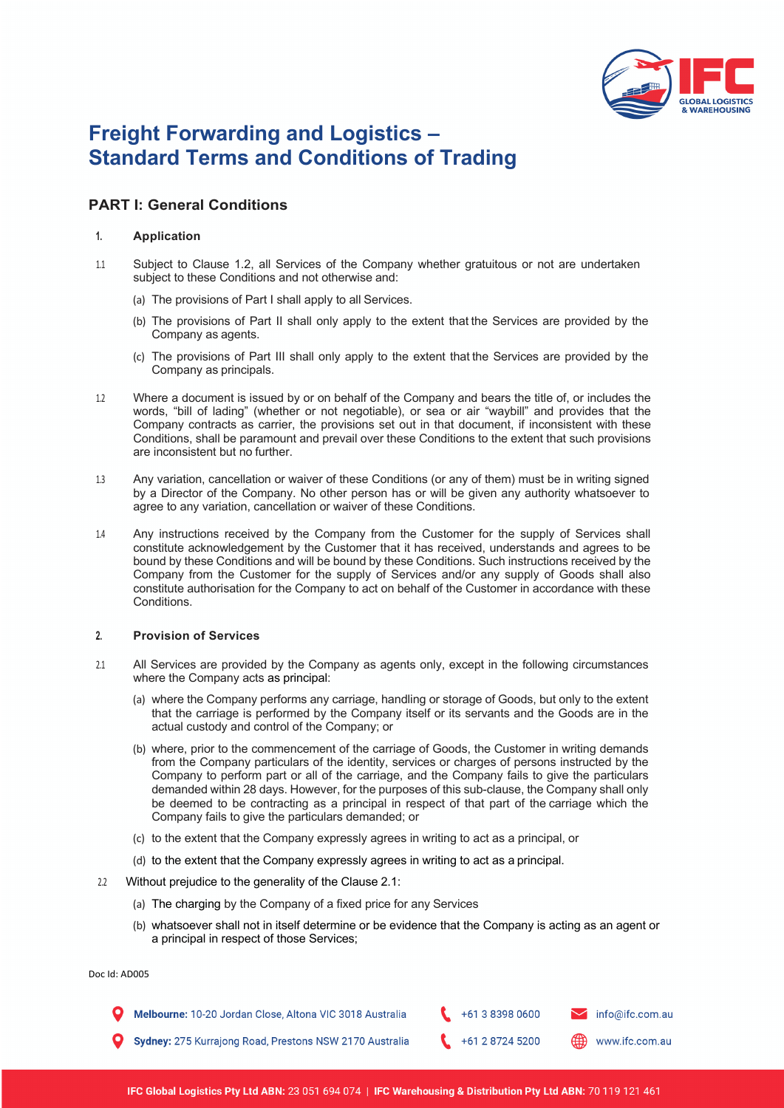

# **Freight Forwarding and Logistics – Standard Terms and Conditions of Trading**

# **PART I: General Conditions**

# **1. Application**

- 1.1 Subject to Clause 1.2, all Services of the Company whether gratuitous or not are undertaken subject to these Conditions and not otherwise and:
	- (a) The provisions of Part I shall apply to all Services.
	- (b) The provisions of Part II shall only apply to the extent that the Services are provided by the Company as agents.
	- (c) The provisions of Part III shall only apply to the extent that the Services are provided by the Company as principals.
- 1.2 Where a document is issued by or on behalf of the Company and bears the title of, or includes the words, "bill of lading" (whether or not negotiable), or sea or air "waybill" and provides that the Company contracts as carrier, the provisions set out in that document, if inconsistent with these Conditions, shall be paramount and prevail over these Conditions to the extent that such provisions are inconsistent but no further.
- 1.3 Any variation, cancellation or waiver of these Conditions (or any of them) must be in writing signed by a Director of the Company. No other person has or will be given any authority whatsoever to agree to any variation, cancellation or waiver of these Conditions.
- 1.4 Any instructions received by the Company from the Customer for the supply of Services shall constitute acknowledgement by the Customer that it has received, understands and agrees to be bound by these Conditions and will be bound by these Conditions. Such instructions received by the Company from the Customer for the supply of Services and/or any supply of Goods shall also constitute authorisation for the Company to act on behalf of the Customer in accordance with these Conditions.

#### **2. Provision of Services**

- 2.1 All Services are provided by the Company as agents only, except in the following circumstances where the Company acts as principal:
	- (a) where the Company performs any carriage, handling or storage of Goods, but only to the extent that the carriage is performed by the Company itself or its servants and the Goods are in the actual custody and control of the Company; or
	- (b) where, prior to the commencement of the carriage of Goods, the Customer in writing demands from the Company particulars of the identity, services or charges of persons instructed by the Company to perform part or all of the carriage, and the Company fails to give the particulars demanded within 28 days. However, for the purposes of this sub-clause, the Company shall only be deemed to be contracting as a principal in respect of that part of the carriage which the Company fails to give the particulars demanded; or
	- (c) to the extent that the Company expressly agrees in writing to act as a principal, or
	- (d) to the extent that the Company expressly agrees in writing to act as a principal.
- 2.2 Without prejudice to the generality of the Clause 2.1:
	- (a) The charging by the Company of a fixed price for any Services
	- (b) whatsoever shall not in itself determine or be evidence that the Company is acting as an agent or a principal in respect of those Services;

Doc Id: AD005

+61 3 8398 0600 Melbourne: 10-20 Jordan Close, Altona VIC 3018 Australia info@ifc.com.au Sydney: 275 Kurrajong Road, Prestons NSW 2170 Australia +61 2 8724 5200 www.ifc.com.au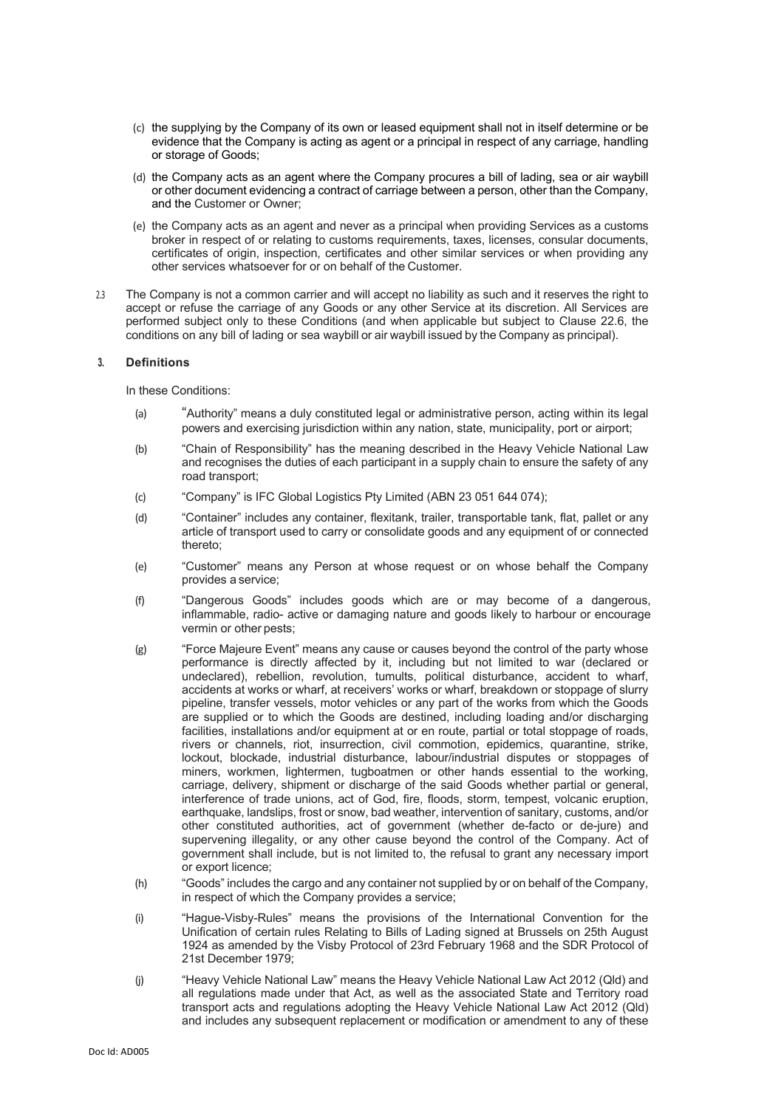- (c) the supplying by the Company of its own or leased equipment shall not in itself determine or be evidence that the Company is acting as agent or a principal in respect of any carriage, handling or storage of Goods;
- (d) the Company acts as an agent where the Company procures a bill of lading, sea or air waybill or other document evidencing a contract of carriage between a person, other than the Company, and the Customer or Owner;
- (e) the Company acts as an agent and never as a principal when providing Services as a customs broker in respect of or relating to customs requirements, taxes, licenses, consular documents, certificates of origin, inspection, certificates and other similar services or when providing any other services whatsoever for or on behalf of the Customer.
- 2.3 The Company is not a common carrier and will accept no liability as such and it reserves the right to accept or refuse the carriage of any Goods or any other Service at its discretion. All Services are performed subject only to these Conditions (and when applicable but subject to Clause 22.6, the conditions on any bill of lading or sea waybill or air waybill issued by the Company as principal).

## **3. Definitions**

In these Conditions:

- (a) "Authority" means a duly constituted legal or administrative person, acting within its legal powers and exercising jurisdiction within any nation, state, municipality, port or airport;
- (b) "Chain of Responsibility" has the meaning described in the Heavy Vehicle National Law and recognises the duties of each participant in a supply chain to ensure the safety of any road transport;
- (c) "Company" is IFC Global Logistics Pty Limited (ABN 23 051 644 074);
- (d) "Container" includes any container, flexitank, trailer, transportable tank, flat, pallet or any article of transport used to carry or consolidate goods and any equipment of or connected thereto;
- (e) "Customer" means any Person at whose request or on whose behalf the Company provides a service;
- (f) "Dangerous Goods" includes goods which are or may become of a dangerous, inflammable, radio- active or damaging nature and goods likely to harbour or encourage vermin or other pests;
- (g) "Force Majeure Event" means any cause or causes beyond the control of the party whose performance is directly affected by it, including but not limited to war (declared or undeclared), rebellion, revolution, tumults, political disturbance, accident to wharf, accidents at works or wharf, at receivers' works or wharf, breakdown or stoppage of slurry pipeline, transfer vessels, motor vehicles or any part of the works from which the Goods are supplied or to which the Goods are destined, including loading and/or discharging facilities, installations and/or equipment at or en route, partial or total stoppage of roads, rivers or channels, riot, insurrection, civil commotion, epidemics, quarantine, strike, lockout, blockade, industrial disturbance, labour/industrial disputes or stoppages of miners, workmen, lightermen, tugboatmen or other hands essential to the working, carriage, delivery, shipment or discharge of the said Goods whether partial or general, interference of trade unions, act of God, fire, floods, storm, tempest, volcanic eruption, earthquake, landslips, frost or snow, bad weather, intervention of sanitary, customs, and/or other constituted authorities, act of government (whether de-facto or de-jure) and supervening illegality, or any other cause beyond the control of the Company. Act of government shall include, but is not limited to, the refusal to grant any necessary import or export licence;
- (h) "Goods" includes the cargo and any container not supplied by or on behalf of the Company, in respect of which the Company provides a service;
- (i) "Hague-Visby-Rules" means the provisions of the International Convention for the Unification of certain rules Relating to Bills of Lading signed at Brussels on 25th August 1924 as amended by the Visby Protocol of 23rd February 1968 and the SDR Protocol of 21st December 1979;
- (j) "Heavy Vehicle National Law" means the Heavy Vehicle National Law Act 2012 (Qld) and all regulations made under that Act, as well as the associated State and Territory road transport acts and regulations adopting the Heavy Vehicle National Law Act 2012 (Qld) and includes any subsequent replacement or modification or amendment to any of these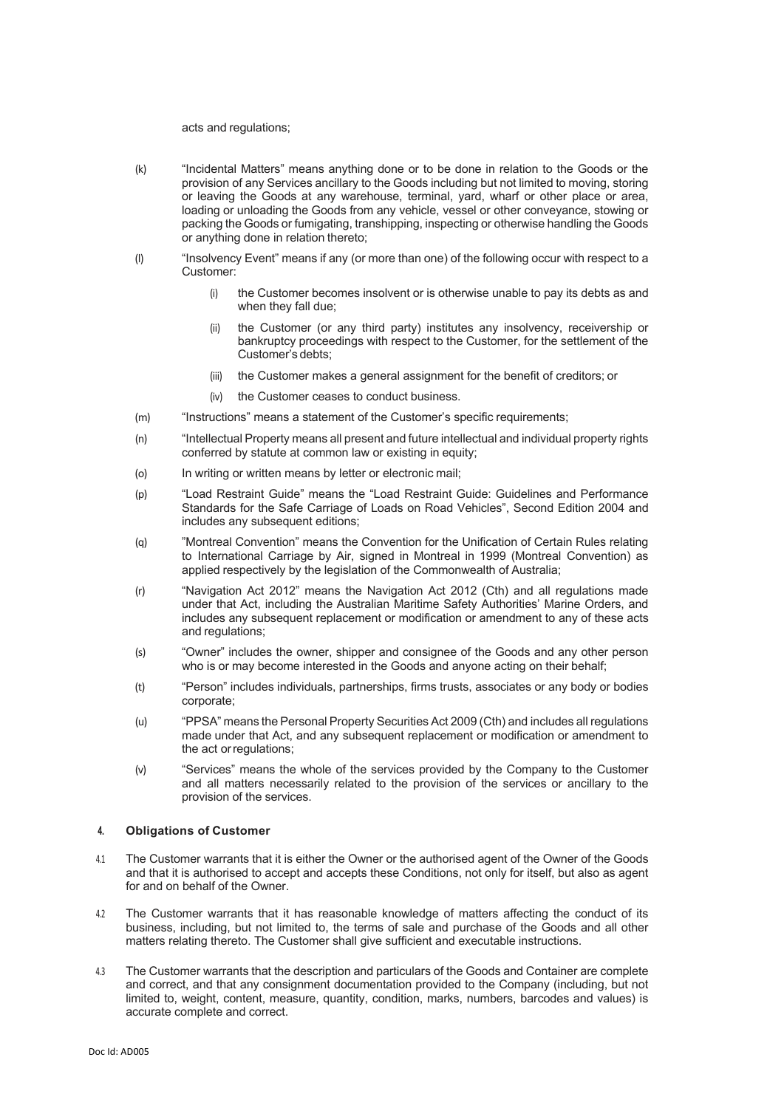#### acts and regulations;

- (k) "Incidental Matters" means anything done or to be done in relation to the Goods or the provision of any Services ancillary to the Goods including but not limited to moving, storing or leaving the Goods at any warehouse, terminal, yard, wharf or other place or area, loading or unloading the Goods from any vehicle, vessel or other conveyance, stowing or packing the Goods or fumigating, transhipping, inspecting or otherwise handling the Goods or anything done in relation thereto;
- (l) "Insolvency Event" means if any (or more than one) of the following occur with respect to a Customer:
	- (i) the Customer becomes insolvent or is otherwise unable to pay its debts as and when they fall due;
	- (ii) the Customer (or any third party) institutes any insolvency, receivership or bankruptcy proceedings with respect to the Customer, for the settlement of the Customer's debts;
	- (iii) the Customer makes a general assignment for the benefit of creditors; or
	- (iv) the Customer ceases to conduct business.
- (m) "Instructions" means a statement of the Customer's specific requirements;
- (n) "Intellectual Property means all present and future intellectual and individual property rights conferred by statute at common law or existing in equity;
- (o) In writing or written means by letter or electronic mail;
- (p) "Load Restraint Guide" means the "Load Restraint Guide: Guidelines and Performance Standards for the Safe Carriage of Loads on Road Vehicles", Second Edition 2004 and includes any subsequent editions;
- (q) "Montreal Convention" means the Convention for the Unification of Certain Rules relating to International Carriage by Air, signed in Montreal in 1999 (Montreal Convention) as applied respectively by the legislation of the Commonwealth of Australia;
- (r) "Navigation Act 2012" means the Navigation Act 2012 (Cth) and all regulations made under that Act, including the Australian Maritime Safety Authorities' Marine Orders, and includes any subsequent replacement or modification or amendment to any of these acts and regulations;
- (s) "Owner" includes the owner, shipper and consignee of the Goods and any other person who is or may become interested in the Goods and anyone acting on their behalf;
- (t) "Person" includes individuals, partnerships, firms trusts, associates or any body or bodies corporate;
- (u) "PPSA" means the Personal Property Securities Act 2009 (Cth) and includes all regulations made under that Act, and any subsequent replacement or modification or amendment to the act orregulations;
- (v) "Services" means the whole of the services provided by the Company to the Customer and all matters necessarily related to the provision of the services or ancillary to the provision of the services.

#### **4. Obligations of Customer**

- 4.1 The Customer warrants that it is either the Owner or the authorised agent of the Owner of the Goods and that it is authorised to accept and accepts these Conditions, not only for itself, but also as agent for and on behalf of the Owner.
- 4.2 The Customer warrants that it has reasonable knowledge of matters affecting the conduct of its business, including, but not limited to, the terms of sale and purchase of the Goods and all other matters relating thereto. The Customer shall give sufficient and executable instructions.
- 4.3 The Customer warrants that the description and particulars of the Goods and Container are complete and correct, and that any consignment documentation provided to the Company (including, but not limited to, weight, content, measure, quantity, condition, marks, numbers, barcodes and values) is accurate complete and correct.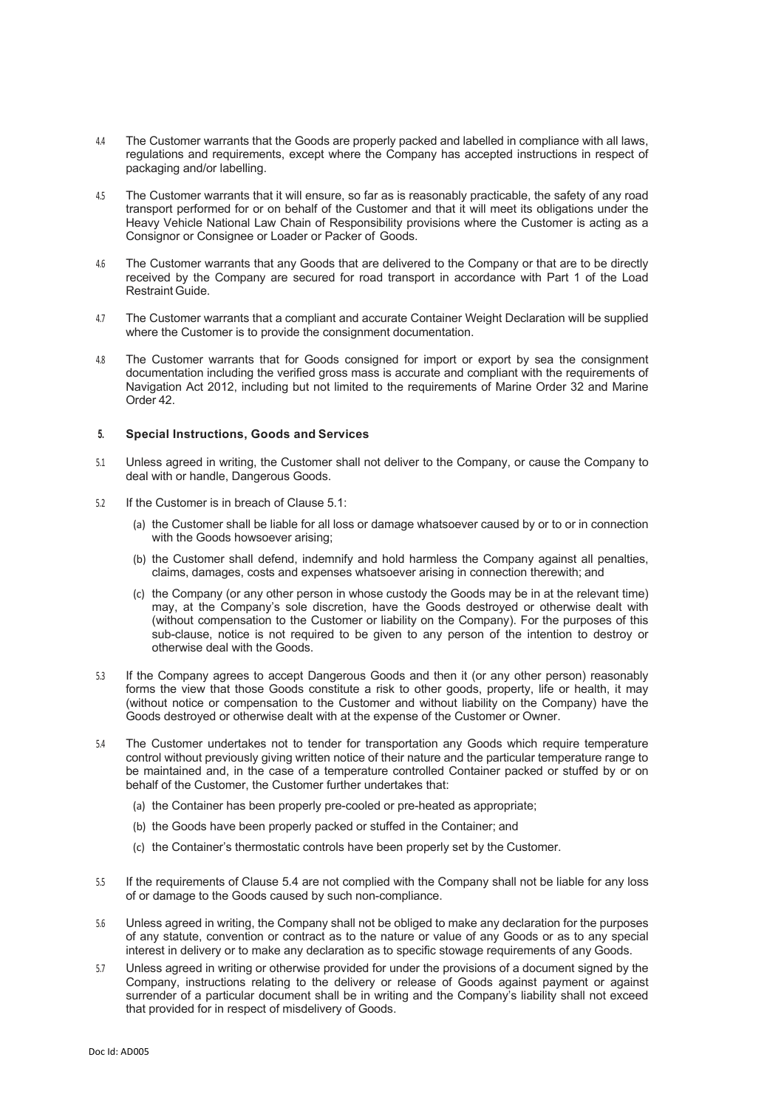- 4.4 The Customer warrants that the Goods are properly packed and labelled in compliance with all laws, regulations and requirements, except where the Company has accepted instructions in respect of packaging and/or labelling.
- 4.5 The Customer warrants that it will ensure, so far as is reasonably practicable, the safety of any road transport performed for or on behalf of the Customer and that it will meet its obligations under the Heavy Vehicle National Law Chain of Responsibility provisions where the Customer is acting as a Consignor or Consignee or Loader or Packer of Goods.
- 4.6 The Customer warrants that any Goods that are delivered to the Company or that are to be directly received by the Company are secured for road transport in accordance with Part 1 of the Load Restraint Guide.
- 4.7 The Customer warrants that a compliant and accurate Container Weight Declaration will be supplied where the Customer is to provide the consignment documentation.
- 4.8 The Customer warrants that for Goods consigned for import or export by sea the consignment documentation including the verified gross mass is accurate and compliant with the requirements of Navigation Act 2012, including but not limited to the requirements of Marine Order 32 and Marine Order 42.

## **5. Special Instructions, Goods and Services**

- 5.1 Unless agreed in writing, the Customer shall not deliver to the Company, or cause the Company to deal with or handle, Dangerous Goods.
- 5.2 If the Customer is in breach of Clause 5.1:
	- (a) the Customer shall be liable for all loss or damage whatsoever caused by or to or in connection with the Goods howsoever arising;
	- (b) the Customer shall defend, indemnify and hold harmless the Company against all penalties, claims, damages, costs and expenses whatsoever arising in connection therewith; and
	- (c) the Company (or any other person in whose custody the Goods may be in at the relevant time) may, at the Company's sole discretion, have the Goods destroyed or otherwise dealt with (without compensation to the Customer or liability on the Company). For the purposes of this sub-clause, notice is not required to be given to any person of the intention to destroy or otherwise deal with the Goods.
- 5.3 If the Company agrees to accept Dangerous Goods and then it (or any other person) reasonably forms the view that those Goods constitute a risk to other goods, property, life or health, it may (without notice or compensation to the Customer and without liability on the Company) have the Goods destroyed or otherwise dealt with at the expense of the Customer or Owner.
- 5.4 The Customer undertakes not to tender for transportation any Goods which require temperature control without previously giving written notice of their nature and the particular temperature range to be maintained and, in the case of a temperature controlled Container packed or stuffed by or on behalf of the Customer, the Customer further undertakes that:
	- (a) the Container has been properly pre-cooled or pre-heated as appropriate;
	- (b) the Goods have been properly packed or stuffed in the Container; and
	- (c) the Container's thermostatic controls have been properly set by the Customer.
- 5.5 If the requirements of Clause 5.4 are not complied with the Company shall not be liable for any loss of or damage to the Goods caused by such non-compliance.
- 5.6 Unless agreed in writing, the Company shall not be obliged to make any declaration for the purposes of any statute, convention or contract as to the nature or value of any Goods or as to any special interest in delivery or to make any declaration as to specific stowage requirements of any Goods.
- 5.7 Unless agreed in writing or otherwise provided for under the provisions of a document signed by the Company, instructions relating to the delivery or release of Goods against payment or against surrender of a particular document shall be in writing and the Company's liability shall not exceed that provided for in respect of misdelivery of Goods.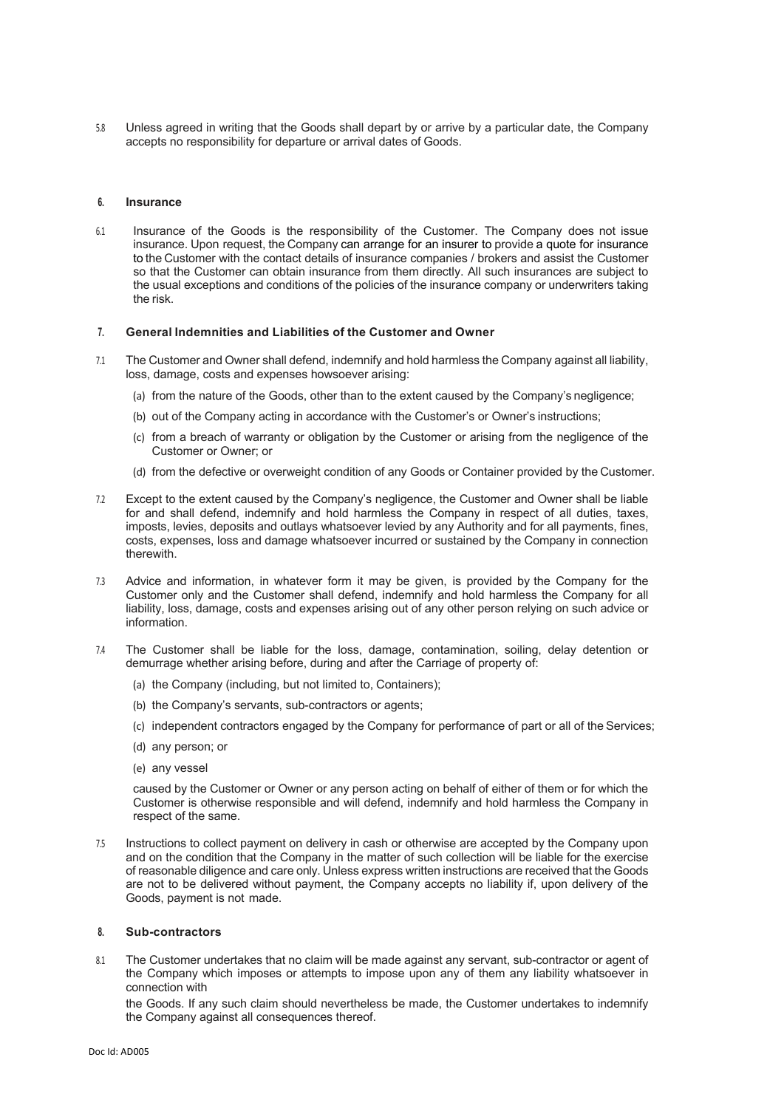5.8 Unless agreed in writing that the Goods shall depart by or arrive by a particular date, the Company accepts no responsibility for departure or arrival dates of Goods.

#### **6. Insurance**

6.1 Insurance of the Goods is the responsibility of the Customer. The Company does not issue insurance. Upon request, the Company can arrange for an insurer to provide a quote for insurance to the Customer with the contact details of insurance companies / brokers and assist the Customer so that the Customer can obtain insurance from them directly. All such insurances are subject to the usual exceptions and conditions of the policies of the insurance company or underwriters taking the risk.

#### **7. General Indemnities and Liabilities of the Customer and Owner**

- 7.1 The Customer and Owner shall defend, indemnify and hold harmless the Company against all liability, loss, damage, costs and expenses howsoever arising:
	- (a) from the nature of the Goods, other than to the extent caused by the Company's negligence;
	- (b) out of the Company acting in accordance with the Customer's or Owner's instructions;
	- (c) from a breach of warranty or obligation by the Customer or arising from the negligence of the Customer or Owner; or
	- (d) from the defective or overweight condition of any Goods or Container provided by the Customer.
- 7.2 Except to the extent caused by the Company's negligence, the Customer and Owner shall be liable for and shall defend, indemnify and hold harmless the Company in respect of all duties, taxes, imposts, levies, deposits and outlays whatsoever levied by any Authority and for all payments, fines, costs, expenses, loss and damage whatsoever incurred or sustained by the Company in connection therewith.
- 7.3 Advice and information, in whatever form it may be given, is provided by the Company for the Customer only and the Customer shall defend, indemnify and hold harmless the Company for all liability, loss, damage, costs and expenses arising out of any other person relying on such advice or information.
- 7.4 The Customer shall be liable for the loss, damage, contamination, soiling, delay detention or demurrage whether arising before, during and after the Carriage of property of:
	- (a) the Company (including, but not limited to, Containers);
	- (b) the Company's servants, sub-contractors or agents;
	- (c) independent contractors engaged by the Company for performance of part or all of the Services;
	- (d) any person; or
	- (e) any vessel

caused by the Customer or Owner or any person acting on behalf of either of them or for which the Customer is otherwise responsible and will defend, indemnify and hold harmless the Company in respect of the same.

7.5 Instructions to collect payment on delivery in cash or otherwise are accepted by the Company upon and on the condition that the Company in the matter of such collection will be liable for the exercise of reasonable diligence and care only. Unless express written instructions are received that the Goods are not to be delivered without payment, the Company accepts no liability if, upon delivery of the Goods, payment is not made.

#### **8. Sub-contractors**

8.1 The Customer undertakes that no claim will be made against any servant, sub-contractor or agent of the Company which imposes or attempts to impose upon any of them any liability whatsoever in connection with

the Goods. If any such claim should nevertheless be made, the Customer undertakes to indemnify the Company against all consequences thereof.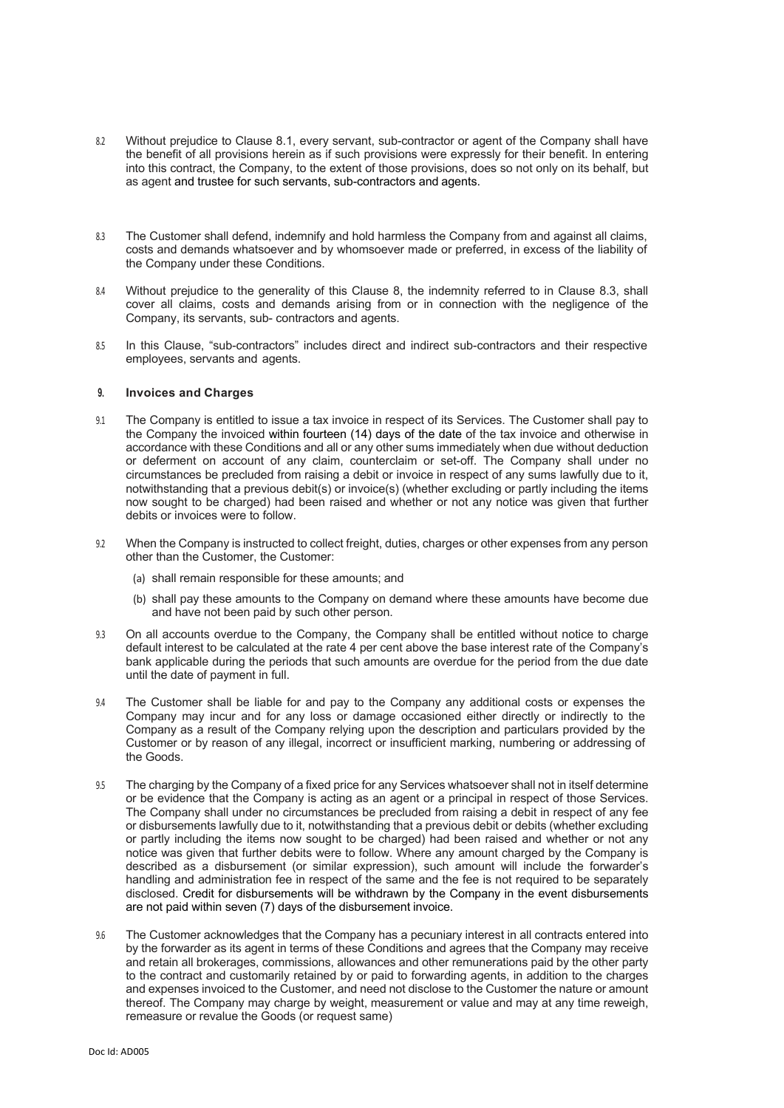- 8.2 Without prejudice to Clause 8.1, every servant, sub-contractor or agent of the Company shall have the benefit of all provisions herein as if such provisions were expressly for their benefit. In entering into this contract, the Company, to the extent of those provisions, does so not only on its behalf, but as agent and trustee for such servants, sub-contractors and agents.
- 8.3 The Customer shall defend, indemnify and hold harmless the Company from and against all claims, costs and demands whatsoever and by whomsoever made or preferred, in excess of the liability of the Company under these Conditions.
- 8.4 Without prejudice to the generality of this Clause 8, the indemnity referred to in Clause 8.3, shall cover all claims, costs and demands arising from or in connection with the negligence of the Company, its servants, sub- contractors and agents.
- 8.5 In this Clause, "sub-contractors" includes direct and indirect sub-contractors and their respective employees, servants and agents.

#### **9. Invoices and Charges**

- 9.1 The Company is entitled to issue a tax invoice in respect of its Services. The Customer shall pay to the Company the invoiced within fourteen (14) days of the date of the tax invoice and otherwise in accordance with these Conditions and all or any other sums immediately when due without deduction or deferment on account of any claim, counterclaim or set-off. The Company shall under no circumstances be precluded from raising a debit or invoice in respect of any sums lawfully due to it, notwithstanding that a previous debit(s) or invoice(s) (whether excluding or partly including the items now sought to be charged) had been raised and whether or not any notice was given that further debits or invoices were to follow.
- 9.2 When the Company is instructed to collect freight, duties, charges or other expenses from any person other than the Customer, the Customer:
	- (a) shall remain responsible for these amounts; and
	- (b) shall pay these amounts to the Company on demand where these amounts have become due and have not been paid by such other person.
- 9.3 On all accounts overdue to the Company, the Company shall be entitled without notice to charge default interest to be calculated at the rate 4 per cent above the base interest rate of the Company's bank applicable during the periods that such amounts are overdue for the period from the due date until the date of payment in full.
- 9.4 The Customer shall be liable for and pay to the Company any additional costs or expenses the Company may incur and for any loss or damage occasioned either directly or indirectly to the Company as a result of the Company relying upon the description and particulars provided by the Customer or by reason of any illegal, incorrect or insufficient marking, numbering or addressing of the Goods.
- 9.5 The charging by the Company of a fixed price for any Services whatsoever shall not in itself determine or be evidence that the Company is acting as an agent or a principal in respect of those Services. The Company shall under no circumstances be precluded from raising a debit in respect of any fee or disbursements lawfully due to it, notwithstanding that a previous debit or debits (whether excluding or partly including the items now sought to be charged) had been raised and whether or not any notice was given that further debits were to follow. Where any amount charged by the Company is described as a disbursement (or similar expression), such amount will include the forwarder's handling and administration fee in respect of the same and the fee is not required to be separately disclosed. Credit for disbursements will be withdrawn by the Company in the event disbursements are not paid within seven (7) days of the disbursement invoice.
- 9.6 The Customer acknowledges that the Company has a pecuniary interest in all contracts entered into by the forwarder as its agent in terms of these Conditions and agrees that the Company may receive and retain all brokerages, commissions, allowances and other remunerations paid by the other party to the contract and customarily retained by or paid to forwarding agents, in addition to the charges and expenses invoiced to the Customer, and need not disclose to the Customer the nature or amount thereof. The Company may charge by weight, measurement or value and may at any time reweigh, remeasure or revalue the Goods (or request same)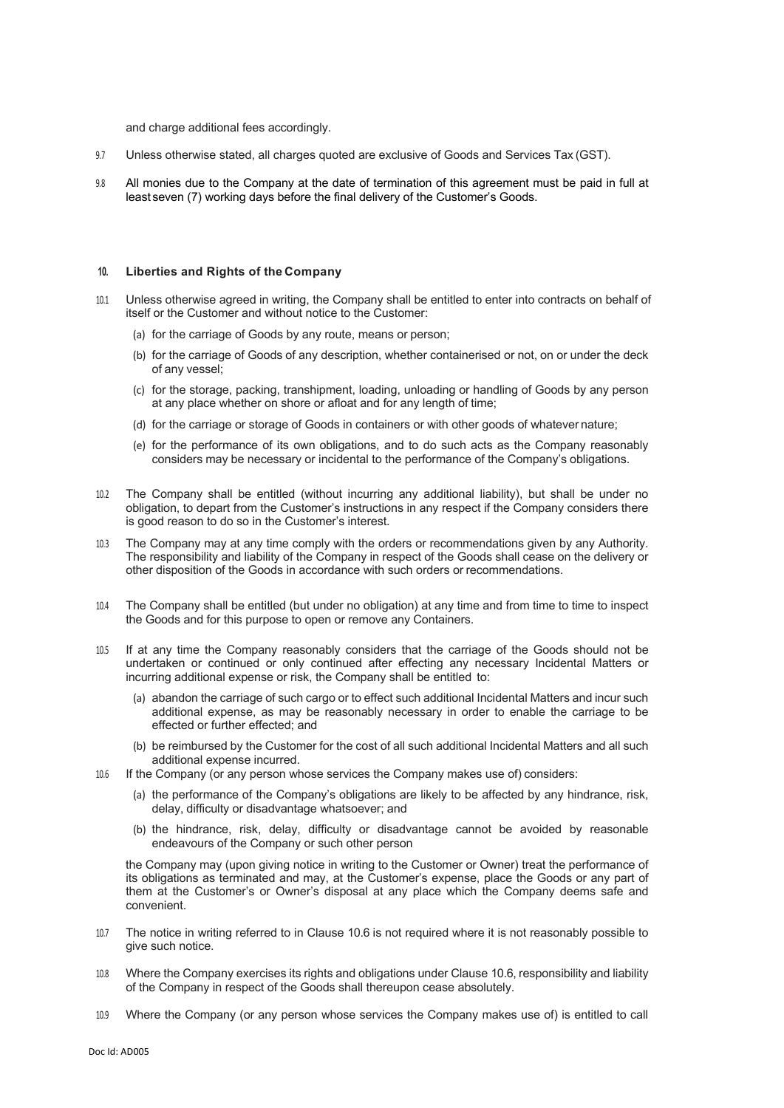and charge additional fees accordingly.

- 9.7 Unless otherwise stated, all charges quoted are exclusive of Goods and Services Tax (GST).
- 9.8 All monies due to the Company at the date of termination of this agreement must be paid in full at least seven (7) working days before the final delivery of the Customer's Goods.

#### **10. Liberties and Rights of the Company**

- 10.1 Unless otherwise agreed in writing, the Company shall be entitled to enter into contracts on behalf of itself or the Customer and without notice to the Customer:
	- (a) for the carriage of Goods by any route, means or person;
	- (b) for the carriage of Goods of any description, whether containerised or not, on or under the deck of any vessel;
	- (c) for the storage, packing, transhipment, loading, unloading or handling of Goods by any person at any place whether on shore or afloat and for any length of time;
	- (d) for the carriage or storage of Goods in containers or with other goods of whatever nature;
	- (e) for the performance of its own obligations, and to do such acts as the Company reasonably considers may be necessary or incidental to the performance of the Company's obligations.
- 10.2 The Company shall be entitled (without incurring any additional liability), but shall be under no obligation, to depart from the Customer's instructions in any respect if the Company considers there is good reason to do so in the Customer's interest.
- 10.3 The Company may at any time comply with the orders or recommendations given by any Authority. The responsibility and liability of the Company in respect of the Goods shall cease on the delivery or other disposition of the Goods in accordance with such orders or recommendations.
- 10.4 The Company shall be entitled (but under no obligation) at any time and from time to time to inspect the Goods and for this purpose to open or remove any Containers.
- 10.5 If at any time the Company reasonably considers that the carriage of the Goods should not be undertaken or continued or only continued after effecting any necessary Incidental Matters or incurring additional expense or risk, the Company shall be entitled to:
	- (a) abandon the carriage of such cargo or to effect such additional Incidental Matters and incur such additional expense, as may be reasonably necessary in order to enable the carriage to be effected or further effected; and
	- (b) be reimbursed by the Customer for the cost of all such additional Incidental Matters and all such additional expense incurred.
- 10.6 If the Company (or any person whose services the Company makes use of) considers:
	- (a) the performance of the Company's obligations are likely to be affected by any hindrance, risk, delay, difficulty or disadvantage whatsoever; and
	- (b) the hindrance, risk, delay, difficulty or disadvantage cannot be avoided by reasonable endeavours of the Company or such other person

the Company may (upon giving notice in writing to the Customer or Owner) treat the performance of its obligations as terminated and may, at the Customer's expense, place the Goods or any part of them at the Customer's or Owner's disposal at any place which the Company deems safe and convenient.

- 10.7 The notice in writing referred to in Clause 10.6 is not required where it is not reasonably possible to give such notice.
- 10.8 Where the Company exercises its rights and obligations under Clause 10.6, responsibility and liability of the Company in respect of the Goods shall thereupon cease absolutely.
- 10.9 Where the Company (or any person whose services the Company makes use of) is entitled to call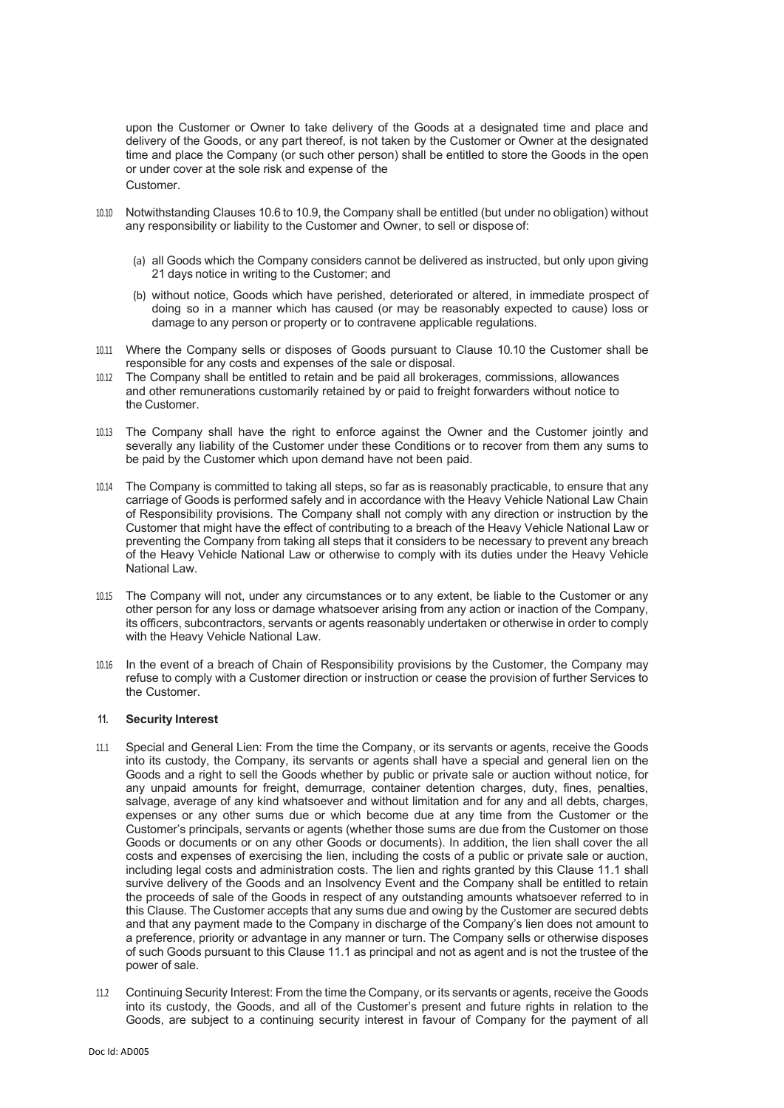upon the Customer or Owner to take delivery of the Goods at a designated time and place and delivery of the Goods, or any part thereof, is not taken by the Customer or Owner at the designated time and place the Company (or such other person) shall be entitled to store the Goods in the open or under cover at the sole risk and expense of the Customer.

- 10.10 Notwithstanding Clauses 10.6 to 10.9, the Company shall be entitled (but under no obligation) without any responsibility or liability to the Customer and Owner, to sell or dispose of:
	- (a) all Goods which the Company considers cannot be delivered as instructed, but only upon giving 21 days notice in writing to the Customer; and
	- (b) without notice, Goods which have perished, deteriorated or altered, in immediate prospect of doing so in a manner which has caused (or may be reasonably expected to cause) loss or damage to any person or property or to contravene applicable regulations.
- 10.11 Where the Company sells or disposes of Goods pursuant to Clause 10.10 the Customer shall be responsible for any costs and expenses of the sale or disposal.
- 10.12 The Company shall be entitled to retain and be paid all brokerages, commissions, allowances and other remunerations customarily retained by or paid to freight forwarders without notice to the Customer.
- 10.13 The Company shall have the right to enforce against the Owner and the Customer jointly and severally any liability of the Customer under these Conditions or to recover from them any sums to be paid by the Customer which upon demand have not been paid.
- 10.14 The Company is committed to taking all steps, so far as is reasonably practicable, to ensure that any carriage of Goods is performed safely and in accordance with the Heavy Vehicle National Law Chain of Responsibility provisions. The Company shall not comply with any direction or instruction by the Customer that might have the effect of contributing to a breach of the Heavy Vehicle National Law or preventing the Company from taking all steps that it considers to be necessary to prevent any breach of the Heavy Vehicle National Law or otherwise to comply with its duties under the Heavy Vehicle National Law.
- 10.15 The Company will not, under any circumstances or to any extent, be liable to the Customer or any other person for any loss or damage whatsoever arising from any action or inaction of the Company, its officers, subcontractors, servants or agents reasonably undertaken or otherwise in order to comply with the Heavy Vehicle National Law.
- 10.16 In the event of a breach of Chain of Responsibility provisions by the Customer, the Company may refuse to comply with a Customer direction or instruction or cease the provision of further Services to the Customer.

#### **11. Security Interest**

- 11.1 Special and General Lien: From the time the Company, or its servants or agents, receive the Goods into its custody, the Company, its servants or agents shall have a special and general lien on the Goods and a right to sell the Goods whether by public or private sale or auction without notice, for any unpaid amounts for freight, demurrage, container detention charges, duty, fines, penalties, salvage, average of any kind whatsoever and without limitation and for any and all debts, charges, expenses or any other sums due or which become due at any time from the Customer or the Customer's principals, servants or agents (whether those sums are due from the Customer on those Goods or documents or on any other Goods or documents). In addition, the lien shall cover the all costs and expenses of exercising the lien, including the costs of a public or private sale or auction, including legal costs and administration costs. The lien and rights granted by this Clause 11.1 shall survive delivery of the Goods and an Insolvency Event and the Company shall be entitled to retain the proceeds of sale of the Goods in respect of any outstanding amounts whatsoever referred to in this Clause. The Customer accepts that any sums due and owing by the Customer are secured debts and that any payment made to the Company in discharge of the Company's lien does not amount to a preference, priority or advantage in any manner or turn. The Company sells or otherwise disposes of such Goods pursuant to this Clause 11.1 as principal and not as agent and is not the trustee of the power of sale.
- 11.2 Continuing Security Interest: From the time the Company, or its servants or agents, receive the Goods into its custody, the Goods, and all of the Customer's present and future rights in relation to the Goods, are subject to a continuing security interest in favour of Company for the payment of all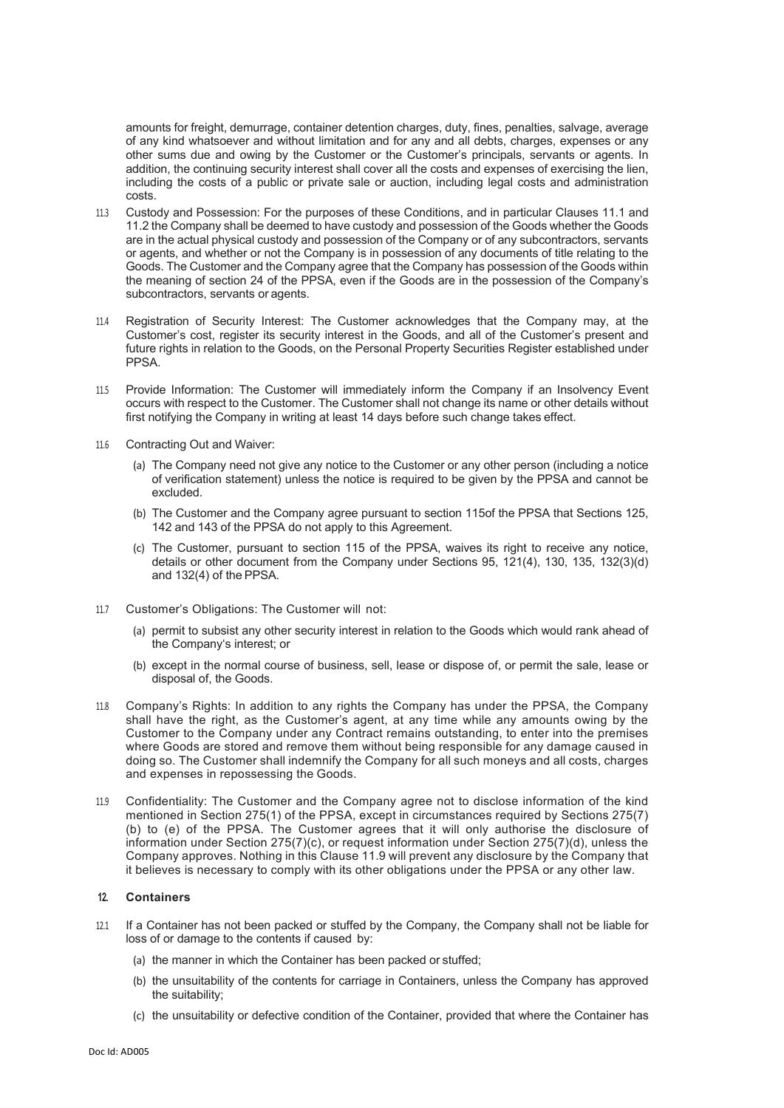amounts for freight, demurrage, container detention charges, duty, fines, penalties, salvage, average of any kind whatsoever and without limitation and for any and all debts, charges, expenses or any other sums due and owing by the Customer or the Customer's principals, servants or agents. In addition, the continuing security interest shall cover all the costs and expenses of exercising the lien, including the costs of a public or private sale or auction, including legal costs and administration costs.

- 11.3 Custody and Possession: For the purposes of these Conditions, and in particular Clauses 11.1 and 11.2 the Company shall be deemed to have custody and possession of the Goods whether the Goods are in the actual physical custody and possession of the Company or of any subcontractors, servants or agents, and whether or not the Company is in possession of any documents of title relating to the Goods. The Customer and the Company agree that the Company has possession of the Goods within the meaning of section 24 of the PPSA, even if the Goods are in the possession of the Company's subcontractors, servants or agents.
- Registration of Security Interest: The Customer acknowledges that the Company may, at the Customer's cost, register its security interest in the Goods, and all of the Customer's present and future rights in relation to the Goods, on the Personal Property Securities Register established under PPSA.
- 11.5 Provide Information: The Customer will immediately inform the Company if an Insolvency Event occurs with respect to the Customer. The Customer shall not change its name or other details without first notifying the Company in writing at least 14 days before such change takes effect.
- 11.6 Contracting Out and Waiver:
	- (a) The Company need not give any notice to the Customer or any other person (including a notice of verification statement) unless the notice is required to be given by the PPSA and cannot be excluded.
	- (b) The Customer and the Company agree pursuant to section 115of the PPSA that Sections 125, 142 and 143 of the PPSA do not apply to this Agreement.
	- (c) The Customer, pursuant to section 115 of the PPSA, waives its right to receive any notice, details or other document from the Company under Sections 95, 121(4), 130, 135, 132(3)(d) and 132(4) of the PPSA.
- 11.7 Customer's Obligations: The Customer will not:
	- (a) permit to subsist any other security interest in relation to the Goods which would rank ahead of the Company's interest; or
	- (b) except in the normal course of business, sell, lease or dispose of, or permit the sale, lease or disposal of, the Goods.
- 11.8 Company's Rights: In addition to any rights the Company has under the PPSA, the Company shall have the right, as the Customer's agent, at any time while any amounts owing by the Customer to the Company under any Contract remains outstanding, to enter into the premises where Goods are stored and remove them without being responsible for any damage caused in doing so. The Customer shall indemnify the Company for all such moneys and all costs, charges and expenses in repossessing the Goods.
- 11.9 Confidentiality: The Customer and the Company agree not to disclose information of the kind mentioned in Section 275(1) of the PPSA, except in circumstances required by Sections 275(7) (b) to (e) of the PPSA. The Customer agrees that it will only authorise the disclosure of information under Section 275(7)(c), or request information under Section 275(7)(d), unless the Company approves. Nothing in this Clause 11.9 will prevent any disclosure by the Company that it believes is necessary to comply with its other obligations under the PPSA or any other law.

#### **12. Containers**

- 12.1 If a Container has not been packed or stuffed by the Company, the Company shall not be liable for loss of or damage to the contents if caused by:
	- (a) the manner in which the Container has been packed or stuffed;
	- (b) the unsuitability of the contents for carriage in Containers, unless the Company has approved the suitability;
	- (c) the unsuitability or defective condition of the Container, provided that where the Container has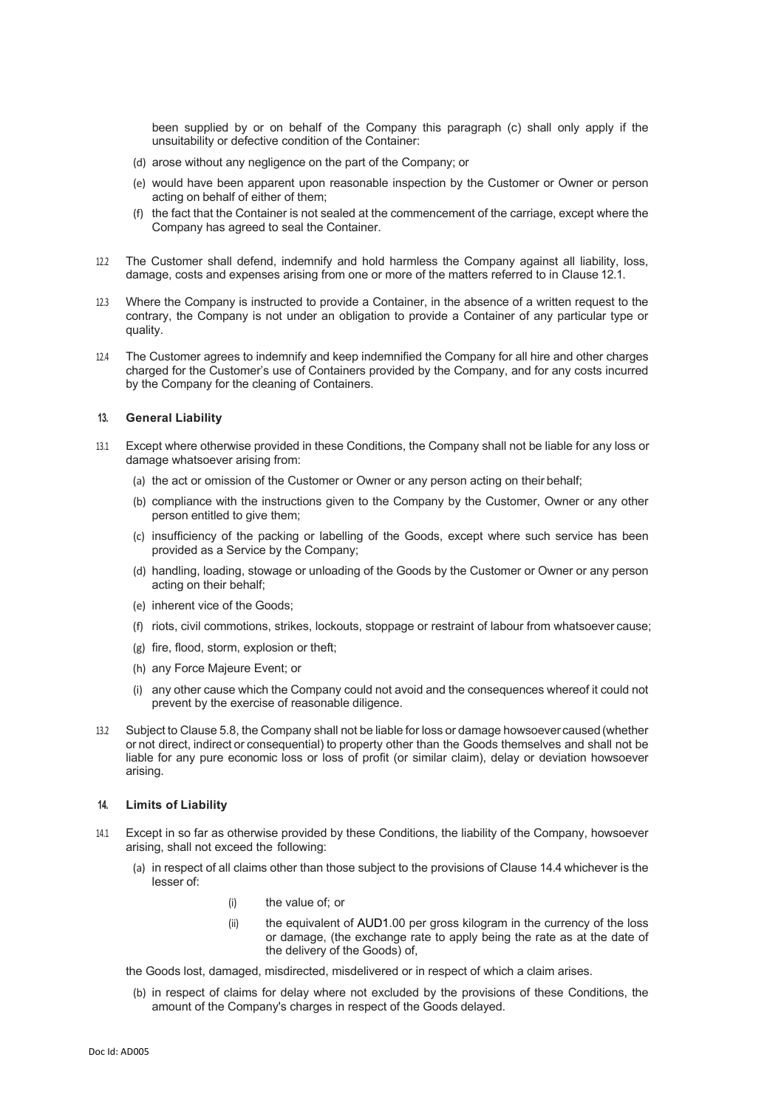been supplied by or on behalf of the Company this paragraph (c) shall only apply if the unsuitability or defective condition of the Container:

- (d) arose without any negligence on the part of the Company; or
- (e) would have been apparent upon reasonable inspection by the Customer or Owner or person acting on behalf of either of them;
- the fact that the Container is not sealed at the commencement of the carriage, except where the Company has agreed to seal the Container.
- 12.2 The Customer shall defend, indemnify and hold harmless the Company against all liability, loss, damage, costs and expenses arising from one or more of the matters referred to in Clause 12.1.
- 12.3 Where the Company is instructed to provide a Container, in the absence of a written request to the contrary, the Company is not under an obligation to provide a Container of any particular type or quality.
- 12.4 The Customer agrees to indemnify and keep indemnified the Company for all hire and other charges charged for the Customer's use of Containers provided by the Company, and for any costs incurred by the Company for the cleaning of Containers.

#### **13. General Liability**

- 13.1 Except where otherwise provided in these Conditions, the Company shall not be liable for any loss or damage whatsoever arising from:
	- (a) the act or omission of the Customer or Owner or any person acting on their behalf;
	- (b) compliance with the instructions given to the Company by the Customer, Owner or any other person entitled to give them;
	- (c) insufficiency of the packing or labelling of the Goods, except where such service has been provided as a Service by the Company;
	- (d) handling, loading, stowage or unloading of the Goods by the Customer or Owner or any person acting on their behalf;
	- (e) inherent vice of the Goods;
	- (f) riots, civil commotions, strikes, lockouts, stoppage or restraint of labour from whatsoever cause;
	- (g) fire, flood, storm, explosion or theft;
	- (h) any Force Majeure Event; or
	- (i) any other cause which the Company could not avoid and the consequences whereof it could not prevent by the exercise of reasonable diligence.
- 13.2 Subject to Clause 5.8, the Company shall not be liable for loss or damage howsoever caused(whether or not direct, indirect or consequential) to property other than the Goods themselves and shall not be liable for any pure economic loss or loss of profit (or similar claim), delay or deviation howsoever arising.

#### **14. Limits of Liability**

- 14.1 Except in so far as otherwise provided by these Conditions, the liability of the Company, howsoever arising, shall not exceed the following:
	- (a) in respect of all claims other than those subject to the provisions of Clause 14.4 whichever is the lesser of:
		- (i) the value of; or
		- (ii) the equivalent of AUD1.00 per gross kilogram in the currency of the loss or damage, (the exchange rate to apply being the rate as at the date of the delivery of the Goods) of,
	- the Goods lost, damaged, misdirected, misdelivered or in respect of which a claim arises.
	- (b) in respect of claims for delay where not excluded by the provisions of these Conditions, the amount of the Company's charges in respect of the Goods delayed.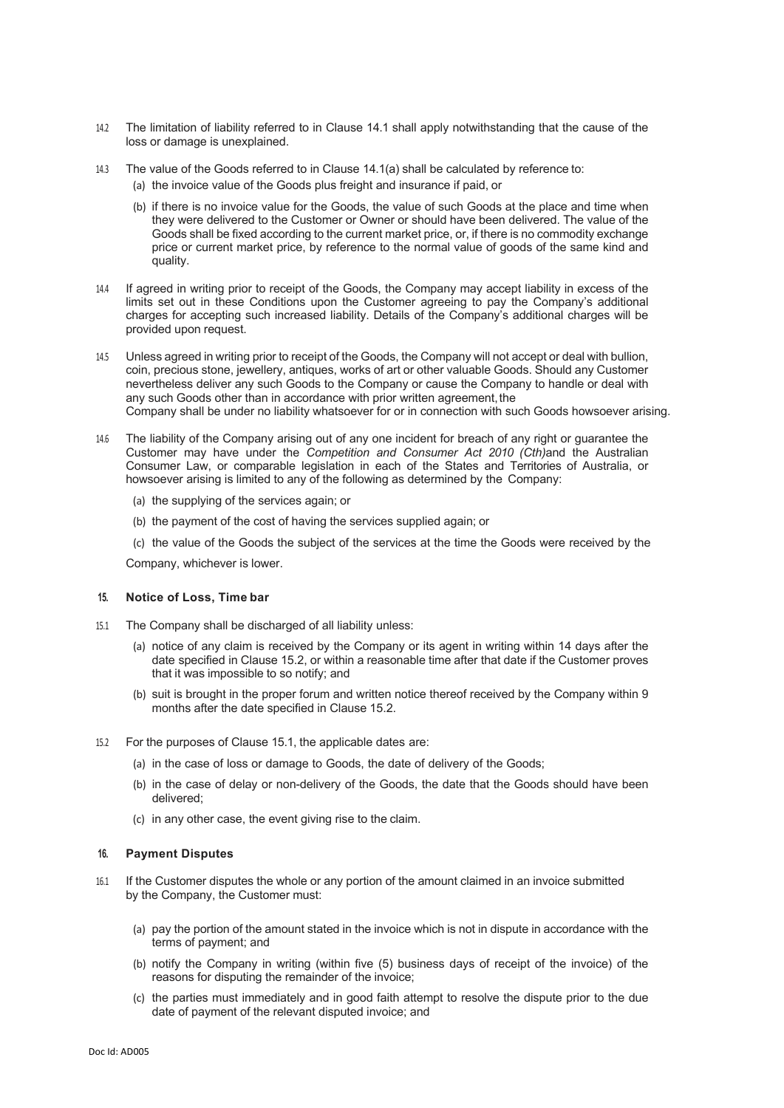- 14.2 The limitation of liability referred to in Clause 14.1 shall apply notwithstanding that the cause of the loss or damage is unexplained.
- 14.3 The value of the Goods referred to in Clause 14.1(a) shall be calculated by reference to:
	- (a) the invoice value of the Goods plus freight and insurance if paid, or
	- (b) if there is no invoice value for the Goods, the value of such Goods at the place and time when they were delivered to the Customer or Owner or should have been delivered. The value of the Goods shall be fixed according to the current market price, or, if there is no commodity exchange price or current market price, by reference to the normal value of goods of the same kind and quality.
- 14.4 If agreed in writing prior to receipt of the Goods, the Company may accept liability in excess of the limits set out in these Conditions upon the Customer agreeing to pay the Company's additional charges for accepting such increased liability. Details of the Company's additional charges will be provided upon request.
- 14.5 Unless agreed in writing prior to receipt of the Goods, the Company will not accept or deal with bullion, coin, precious stone, jewellery, antiques, works of art or other valuable Goods. Should any Customer nevertheless deliver any such Goods to the Company or cause the Company to handle or deal with any such Goods other than in accordance with prior written agreement, the Company shall be under no liability whatsoever for or in connection with such Goods howsoever arising.
- 14.6 The liability of the Company arising out of any one incident for breach of any right or guarantee the Customer may have under the *Competition and Consumer Act 2010 (Cth)*and the Australian Consumer Law, or comparable legislation in each of the States and Territories of Australia, or howsoever arising is limited to any of the following as determined by the Company:
	- (a) the supplying of the services again; or
	- (b) the payment of the cost of having the services supplied again; or
	- (c) the value of the Goods the subject of the services at the time the Goods were received by the

Company, whichever is lower.

#### **15. Notice of Loss, Time bar**

- 15.1 The Company shall be discharged of all liability unless:
	- (a) notice of any claim is received by the Company or its agent in writing within 14 days after the date specified in Clause 15.2, or within a reasonable time after that date if the Customer proves that it was impossible to so notify; and
	- (b) suit is brought in the proper forum and written notice thereof received by the Company within 9 months after the date specified in Clause 15.2.
- 15.2 For the purposes of Clause 15.1, the applicable dates are:
	- (a) in the case of loss or damage to Goods, the date of delivery of the Goods;
	- (b) in the case of delay or non-delivery of the Goods, the date that the Goods should have been delivered;
	- (c) in any other case, the event giving rise to the claim.

#### **16. Payment Disputes**

- 16.1 If the Customer disputes the whole or any portion of the amount claimed in an invoice submitted by the Company, the Customer must:
	- (a) pay the portion of the amount stated in the invoice which is not in dispute in accordance with the terms of payment; and
	- (b) notify the Company in writing (within five (5) business days of receipt of the invoice) of the reasons for disputing the remainder of the invoice;
	- (c) the parties must immediately and in good faith attempt to resolve the dispute prior to the due date of payment of the relevant disputed invoice; and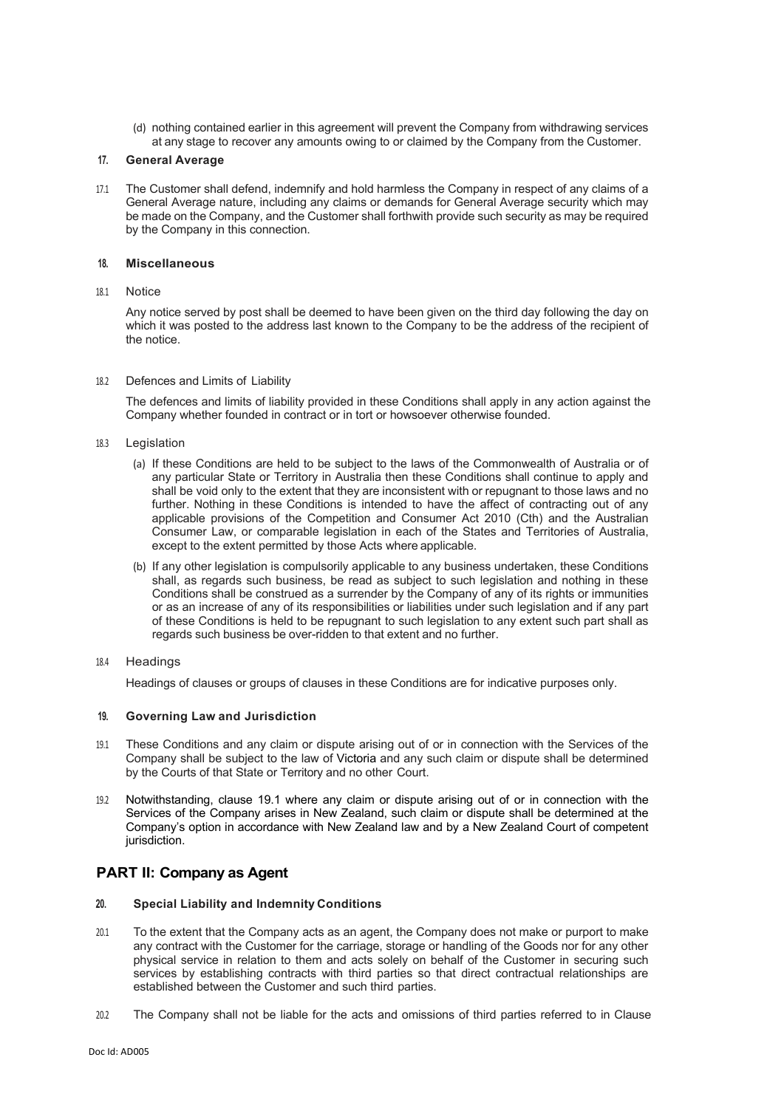(d) nothing contained earlier in this agreement will prevent the Company from withdrawing services at any stage to recover any amounts owing to or claimed by the Company from the Customer.

#### **17. General Average**

17.1 The Customer shall defend, indemnify and hold harmless the Company in respect of any claims of a General Average nature, including any claims or demands for General Average security which may be made on the Company, and the Customer shall forthwith provide such security as may be required by the Company in this connection.

#### **18. Miscellaneous**

#### 18.1 Notice

Any notice served by post shall be deemed to have been given on the third day following the day on which it was posted to the address last known to the Company to be the address of the recipient of the notice.

#### 18.2 Defences and Limits of Liability

The defences and limits of liability provided in these Conditions shall apply in any action against the Company whether founded in contract or in tort or howsoever otherwise founded.

- 18.3 Legislation
	- (a) If these Conditions are held to be subject to the laws of the Commonwealth of Australia or of any particular State or Territory in Australia then these Conditions shall continue to apply and shall be void only to the extent that they are inconsistent with or repugnant to those laws and no further. Nothing in these Conditions is intended to have the affect of contracting out of any applicable provisions of the Competition and Consumer Act 2010 (Cth) and the Australian Consumer Law, or comparable legislation in each of the States and Territories of Australia, except to the extent permitted by those Acts where applicable.
	- (b) If any other legislation is compulsorily applicable to any business undertaken, these Conditions shall, as regards such business, be read as subject to such legislation and nothing in these Conditions shall be construed as a surrender by the Company of any of its rights or immunities or as an increase of any of its responsibilities or liabilities under such legislation and if any part of these Conditions is held to be repugnant to such legislation to any extent such part shall as regards such business be over-ridden to that extent and no further.
- 18.4 Headings

Headings of clauses or groups of clauses in these Conditions are for indicative purposes only.

#### **19. Governing Law and Jurisdiction**

- 19.1 These Conditions and any claim or dispute arising out of or in connection with the Services of the Company shall be subject to the law of Victoria and any such claim or dispute shall be determined by the Courts of that State or Territory and no other Court.
- 19.2 Notwithstanding, clause 19.1 where any claim or dispute arising out of or in connection with the Services of the Company arises in New Zealand, such claim or dispute shall be determined at the Company's option in accordance with New Zealand law and by a New Zealand Court of competent jurisdiction.

# **PART II: Company as Agent**

#### **20. Special Liability and Indemnity Conditions**

- 20.1 To the extent that the Company acts as an agent, the Company does not make or purport to make any contract with the Customer for the carriage, storage or handling of the Goods nor for any other physical service in relation to them and acts solely on behalf of the Customer in securing such services by establishing contracts with third parties so that direct contractual relationships are established between the Customer and such third parties.
- 20.2 The Company shall not be liable for the acts and omissions of third parties referred to in Clause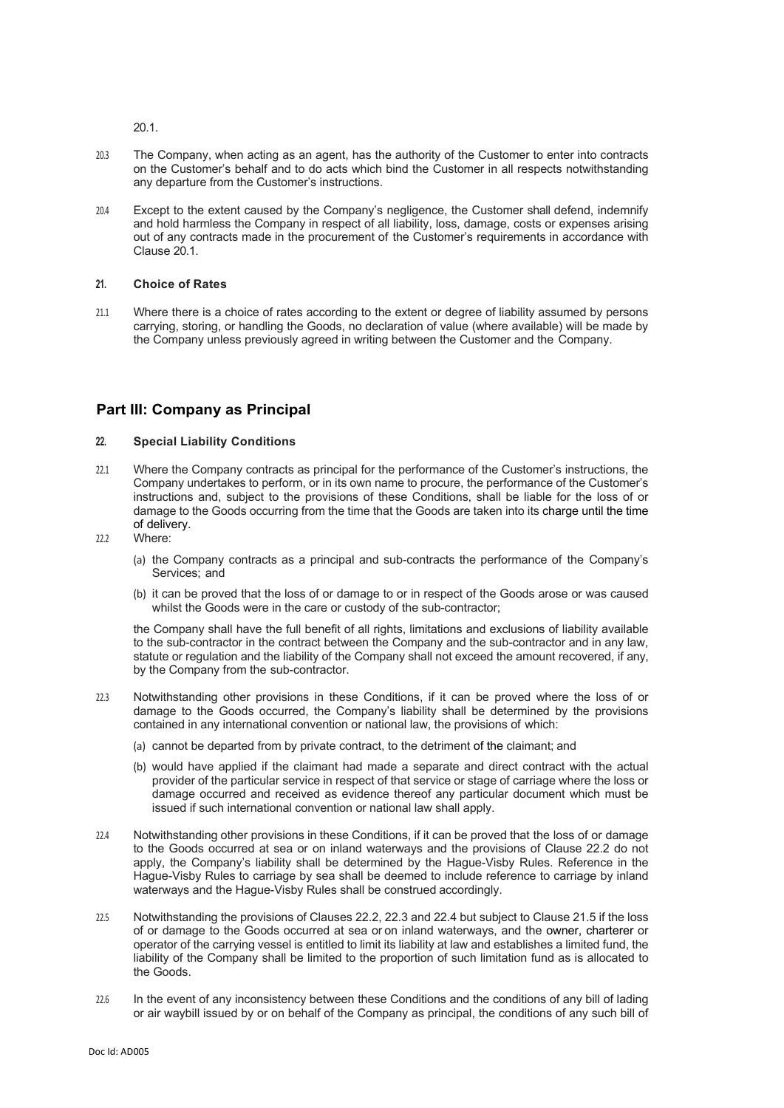20.1.

- 20.3 The Company, when acting as an agent, has the authority of the Customer to enter into contracts on the Customer's behalf and to do acts which bind the Customer in all respects notwithstanding any departure from the Customer's instructions.
- 20.4 Except to the extent caused by the Company's negligence, the Customer shall defend, indemnify and hold harmless the Company in respect of all liability, loss, damage, costs or expenses arising out of any contracts made in the procurement of the Customer's requirements in accordance with Clause 20.1.

## **21. Choice of Rates**

21.1 Where there is a choice of rates according to the extent or degree of liability assumed by persons carrying, storing, or handling the Goods, no declaration of value (where available) will be made by the Company unless previously agreed in writing between the Customer and the Company.

# **Part III: Company as Principal**

# **22. Special Liability Conditions**

- 22.1 Where the Company contracts as principal for the performance of the Customer's instructions, the Company undertakes to perform, or in its own name to procure, the performance of the Customer's instructions and, subject to the provisions of these Conditions, shall be liable for the loss of or damage to the Goods occurring from the time that the Goods are taken into its charge until the time of delivery.
- 22.2 Where:
	- (a) the Company contracts as a principal and sub-contracts the performance of the Company's Services; and
	- (b) it can be proved that the loss of or damage to or in respect of the Goods arose or was caused whilst the Goods were in the care or custody of the sub-contractor;

the Company shall have the full benefit of all rights, limitations and exclusions of liability available to the sub-contractor in the contract between the Company and the sub-contractor and in any law, statute or regulation and the liability of the Company shall not exceed the amount recovered, if any, by the Company from the sub-contractor.

- 22.3 Notwithstanding other provisions in these Conditions, if it can be proved where the loss of or damage to the Goods occurred, the Company's liability shall be determined by the provisions contained in any international convention or national law, the provisions of which:
	- (a) cannot be departed from by private contract, to the detriment of the claimant; and
	- (b) would have applied if the claimant had made a separate and direct contract with the actual provider of the particular service in respect of that service or stage of carriage where the loss or damage occurred and received as evidence thereof any particular document which must be issued if such international convention or national law shall apply.
- 22.4 Notwithstanding other provisions in these Conditions, if it can be proved that the loss of or damage to the Goods occurred at sea or on inland waterways and the provisions of Clause 22.2 do not apply, the Company's liability shall be determined by the Hague-Visby Rules. Reference in the Hague-Visby Rules to carriage by sea shall be deemed to include reference to carriage by inland waterways and the Hague-Visby Rules shall be construed accordingly.
- 22.5 Notwithstanding the provisions of Clauses 22.2, 22.3 and 22.4 but subject to Clause 21.5 if the loss of or damage to the Goods occurred at sea or on inland waterways, and the owner, charterer or operator of the carrying vessel is entitled to limit its liability at law and establishes a limited fund, the liability of the Company shall be limited to the proportion of such limitation fund as is allocated to the Goods.
- 22.6 In the event of any inconsistency between these Conditions and the conditions of any bill of lading or air waybill issued by or on behalf of the Company as principal, the conditions of any such bill of